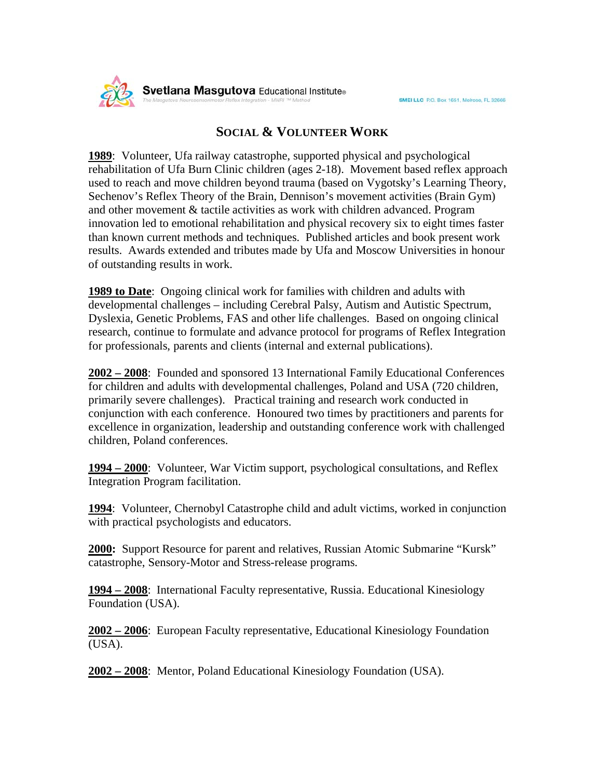

## **SOCIAL & VOLUNTEER WORK**

**1989**: Volunteer, Ufa railway catastrophe, supported physical and psychological rehabilitation of Ufa Burn Clinic children (ages 2-18). Movement based reflex approach used to reach and move children beyond trauma (based on Vygotsky's Learning Theory, Sechenov's Reflex Theory of the Brain, Dennison's movement activities (Brain Gym) and other movement & tactile activities as work with children advanced. Program innovation led to emotional rehabilitation and physical recovery six to eight times faster than known current methods and techniques. Published articles and book present work results. Awards extended and tributes made by Ufa and Moscow Universities in honour of outstanding results in work.

**1989 to Date**: Ongoing clinical work for families with children and adults with developmental challenges – including Cerebral Palsy, Autism and Autistic Spectrum, Dyslexia, Genetic Problems, FAS and other life challenges. Based on ongoing clinical research, continue to formulate and advance protocol for programs of Reflex Integration for professionals, parents and clients (internal and external publications).

**2002 – 2008**: Founded and sponsored 13 International Family Educational Conferences for children and adults with developmental challenges, Poland and USA (720 children, primarily severe challenges). Practical training and research work conducted in conjunction with each conference. Honoured two times by practitioners and parents for excellence in organization, leadership and outstanding conference work with challenged children, Poland conferences.

**1994 – 2000**: Volunteer, War Victim support, psychological consultations, and Reflex Integration Program facilitation.

**1994**: Volunteer, Chernobyl Catastrophe child and adult victims, worked in conjunction with practical psychologists and educators.

**2000:** Support Resource for parent and relatives, Russian Atomic Submarine "Kursk" catastrophe, Sensory-Motor and Stress-release programs.

**1994 – 2008**: International Faculty representative, Russia. Educational Kinesiology Foundation (USA).

**2002 – 2006**: European Faculty representative, Educational Kinesiology Foundation (USA).

**2002 – 2008**: Mentor, Poland Educational Kinesiology Foundation (USA).